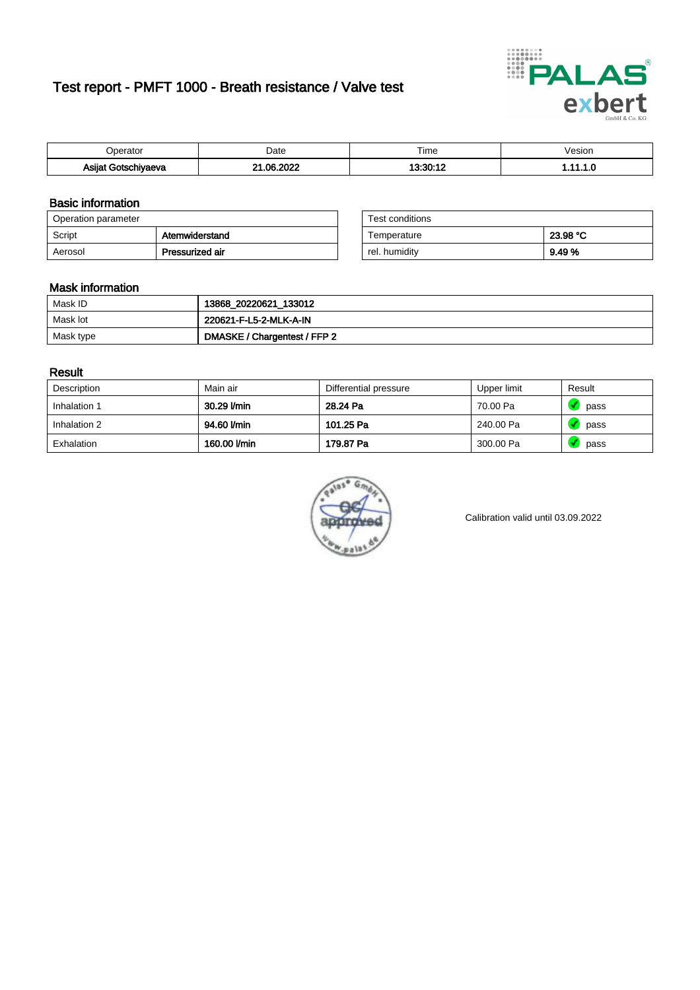# Test report - PMFT 1000 - Breath resistance / Valve test



| )perator                         | Date                    | $- \cdot$<br>Гіmе | /esion |
|----------------------------------|-------------------------|-------------------|--------|
| Asijat Got <u>s</u> r<br>hiyaeva | . noor<br>ne.<br>ີ<br>w | 10.00.10          | .      |

### Basic information

| Operation parameter |                 | Test conditions |          |
|---------------------|-----------------|-----------------|----------|
| Script              | Atemwiderstand  | Temperature     | 23.98 °C |
| Aerosol             | Pressurized air | rel, humidity   | 9.49%    |

| Test conditions |          |
|-----------------|----------|
| Temperature     | 23.98 °C |
| rel. humidity   | 9.49 %   |

#### Mask information

| Mask ID   | 13868_20220621_133012        |
|-----------|------------------------------|
| Mask lot  | 220621-F-L5-2-MLK-A-IN       |
| Mask type | DMASKE / Chargentest / FFP 2 |

### Result

| Description  | Main air     | Differential pressure | Upper limit | Result |
|--------------|--------------|-----------------------|-------------|--------|
| Inhalation 1 | 30.29 l/min  | 28.24 Pa              | 70.00 Pa    | pass   |
| Inhalation 2 | 94.60 l/min  | 101.25 Pa             | 240.00 Pa   | pass   |
| Exhalation   | 160.00 l/min | 179.87 Pa             | 300.00 Pa   | pass   |



Calibration valid until 03.09.2022